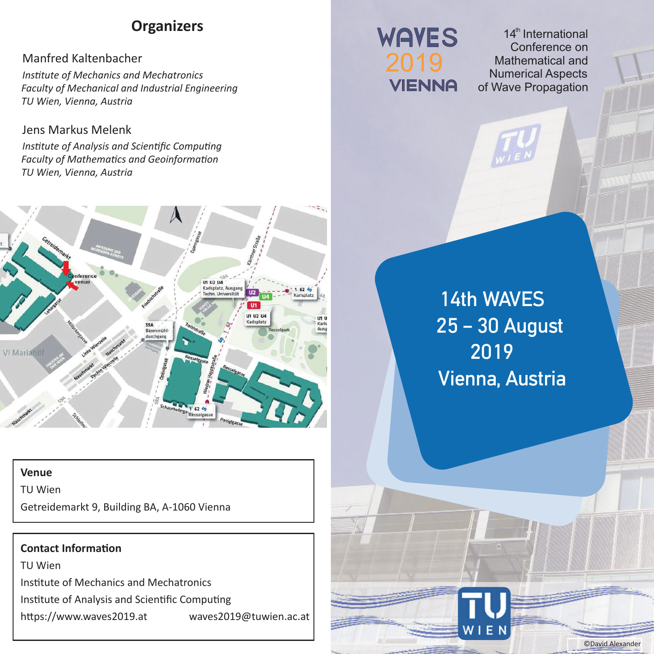# **Organizers**

## Manfred Kaltenbacher

*Institute of Mechanics and Mechatronics Faculty of Mechanical and Industrial Engineering TU Wien, Vienna, Austria* 

### Jens Markus Melenk

*Institute of Analysis and Scientific Computing Faculty of Mathematics and Geoinformation TU Wien, Vienna, Austria* 



#### **Venue**

TU Wien

Getreidemarkt 9, Building BA, A-1060 Vienna

#### **Contact Information**

TU Wien Institute of Mechanics and Mechatronics Institute of Analysis and Scientific Computing https://www.waves2019.at waves2019@tuwien.ac.at

# **WAYES**

14<sup>th</sup> International Conference on Mathematical and Numerical Aspects of Wave Propagation

14th WAVES 25 – 30 August 2019 Vienna, Austria

©David Alexander